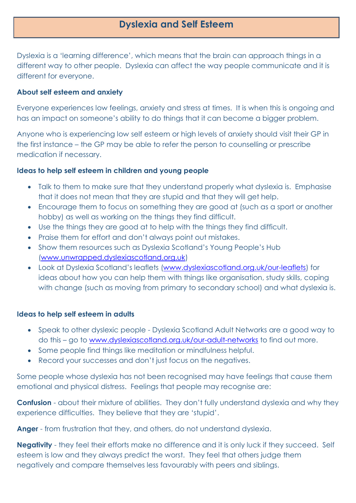# **Dyslexia and Self Esteem**

Dyslexia is a 'learning difference', which means that the brain can approach things in a different way to other people. Dyslexia can affect the way people communicate and it is different for everyone.

#### **About self esteem and anxiety**

Everyone experiences low feelings, anxiety and stress at times. It is when this is ongoing and has an impact on someone's ability to do things that it can become a bigger problem.

Anyone who is experiencing low self esteem or high levels of anxiety should visit their GP in the first instance – the GP may be able to refer the person to counselling or prescribe medication if necessary.

## **Ideas to help self esteem in children and young people**

- Talk to them to make sure that they understand properly what dyslexia is. Emphasise that it does not mean that they are stupid and that they will get help.
- Encourage them to focus on something they are good at (such as a sport or another hobby) as well as working on the things they find difficult.
- Use the things they are good at to help with the things they find difficult.
- Praise them for effort and don't always point out mistakes.
- Show them resources such as Dyslexia Scotland's Young People's Hub [\(www.unwrapped.dyslexiascotland.org.uk\)](http://www.unwrapped.dyslexiascotland.org.uk/)
- Look at Dyslexia Scotland's leaflets [\(www.dyslexiascotland.org.uk/our-leaflets\)](http://www.dyslexiascotland.org.uk/our-leaflets) for ideas about how you can help them with things like organisation, study skills, coping with change (such as moving from primary to secondary school) and what dyslexia is.

#### **Ideas to help self esteem in adults**

- Speak to other dyslexic people Dyslexia Scotland Adult Networks are a good way to do this – go to [www.dyslexiascotland.org.uk/our-adult-networks](http://www.dyslexiascotland.org.uk/our-adult-networks) to find out more.
- Some people find things like meditation or mindfulness helpful.
- Record your successes and don't just focus on the negatives.

Some people whose dyslexia has not been recognised may have feelings that cause them emotional and physical distress. Feelings that people may recognise are:

**Confusion** - about their mixture of abilities. They don't fully understand dyslexia and why they experience difficulties. They believe that they are 'stupid'.

**Anger** - from frustration that they, and others, do not understand dyslexia.

**Negativity** - they feel their efforts make no difference and it is only luck if they succeed. Self esteem is low and they always predict the worst. They feel that others judge them negatively and compare themselves less favourably with peers and siblings.